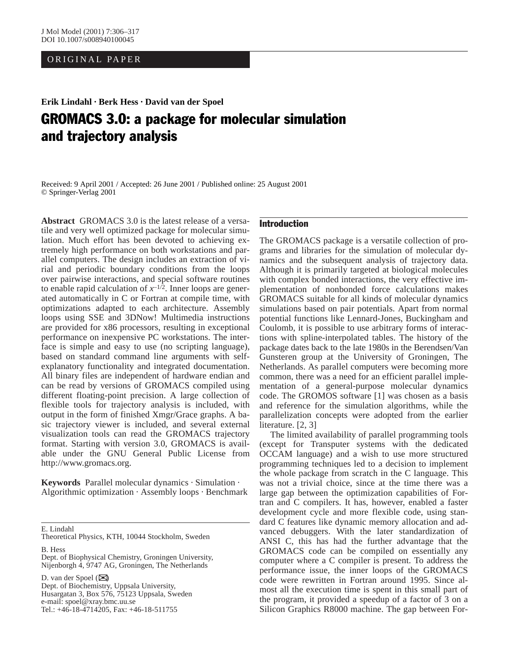ORIGINAL PAPER

**Erik Lindahl · Berk Hess · David van der Spoel**

# GROMACS 3.0: a package for molecular simulation and trajectory analysis

Received: 9 April 2001 / Accepted: 26 June 2001 / Published online: 25 August 2001 © Springer-Verlag 2001

**Abstract** GROMACS 3.0 is the latest release of a versatile and very well optimized package for molecular simulation. Much effort has been devoted to achieving extremely high performance on both workstations and parallel computers. The design includes an extraction of virial and periodic boundary conditions from the loops over pairwise interactions, and special software routines to enable rapid calculation of  $x^{-1/2}$ . Inner loops are generated automatically in C or Fortran at compile time, with optimizations adapted to each architecture. Assembly loops using SSE and 3DNow! Multimedia instructions are provided for x86 processors, resulting in exceptional performance on inexpensive PC workstations. The interface is simple and easy to use (no scripting language), based on standard command line arguments with selfexplanatory functionality and integrated documentation. All binary files are independent of hardware endian and can be read by versions of GROMACS compiled using different floating-point precision. A large collection of flexible tools for trajectory analysis is included, with output in the form of finished Xmgr/Grace graphs. A basic trajectory viewer is included, and several external visualization tools can read the GROMACS trajectory format. Starting with version 3.0, GROMACS is available under the GNU General Public License from http://www.gromacs.org.

**Keywords** Parallel molecular dynamics · Simulation · Algorithmic optimization · Assembly loops · Benchmark

E. Lindahl

Theoretical Physics, KTH, 10044 Stockholm, Sweden

B. Hess Dept. of Biophysical Chemistry, Groningen University, Nijenborgh 4, 9747 AG, Groningen, The Netherlands

D. van der Spoel ( $\boxtimes$ ) Dept. of Biochemistry, Uppsala University, Husargatan 3, Box 576, 75123 Uppsala, Sweden e-mail: spoel@xray.bmc.uu.se Tel.: +46-18-4714205, Fax: +46-18-511755

# Introduction

The GROMACS package is a versatile collection of programs and libraries for the simulation of molecular dynamics and the subsequent analysis of trajectory data. Although it is primarily targeted at biological molecules with complex bonded interactions, the very effective implementation of nonbonded force calculations makes GROMACS suitable for all kinds of molecular dynamics simulations based on pair potentials. Apart from normal potential functions like Lennard-Jones, Buckingham and Coulomb, it is possible to use arbitrary forms of interactions with spline-interpolated tables. The history of the package dates back to the late 1980s in the Berendsen/Van Gunsteren group at the University of Groningen, The Netherlands. As parallel computers were becoming more common, there was a need for an efficient parallel implementation of a general-purpose molecular dynamics code. The GROMOS software [1] was chosen as a basis and reference for the simulation algorithms, while the parallelization concepts were adopted from the earlier literature. [2, 3]

The limited availability of parallel programming tools (except for Transputer systems with the dedicated OCCAM language) and a wish to use more structured programming techniques led to a decision to implement the whole package from scratch in the C language. This was not a trivial choice, since at the time there was a large gap between the optimization capabilities of Fortran and C compilers. It has, however, enabled a faster development cycle and more flexible code, using standard C features like dynamic memory allocation and advanced debuggers. With the later standardization of ANSI C, this has had the further advantage that the GROMACS code can be compiled on essentially any computer where a C compiler is present. To address the performance issue, the inner loops of the GROMACS code were rewritten in Fortran around 1995. Since almost all the execution time is spent in this small part of the program, it provided a speedup of a factor of 3 on a Silicon Graphics R8000 machine. The gap between For-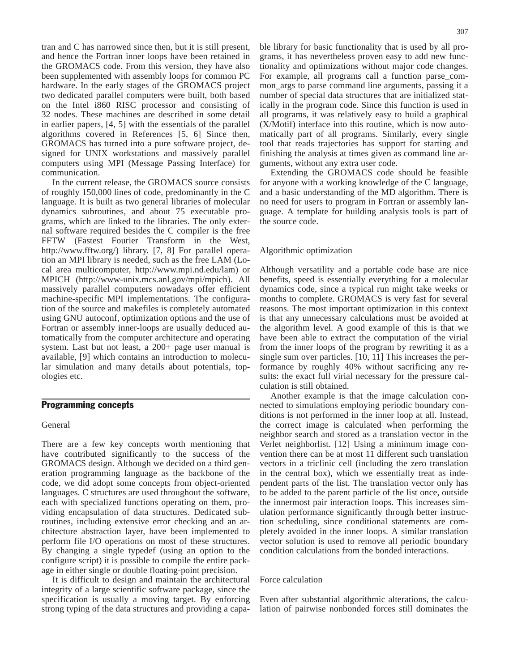tran and C has narrowed since then, but it is still present, and hence the Fortran inner loops have been retained in the GROMACS code. From this version, they have also been supplemented with assembly loops for common PC hardware. In the early stages of the GROMACS project two dedicated parallel computers were built, both based on the Intel i860 RISC processor and consisting of 32 nodes. These machines are described in some detail in earlier papers, [4, 5] with the essentials of the parallel algorithms covered in References [5, 6] Since then, GROMACS has turned into a pure software project, designed for UNIX workstations and massively parallel computers using MPI (Message Passing Interface) for communication.

In the current release, the GROMACS source consists of roughly 150,000 lines of code, predominantly in the C language. It is built as two general libraries of molecular dynamics subroutines, and about 75 executable programs, which are linked to the libraries. The only external software required besides the C compiler is the free FFTW (Fastest Fourier Transform in the West, http://www.fftw.org/) library. [7, 8] For parallel operation an MPI library is needed, such as the free LAM (Local area multicomputer, http://www.mpi.nd.edu/lam) or MPICH (http://www-unix.mcs.anl.gov/mpi/mpich). All massively parallel computers nowadays offer efficient machine-specific MPI implementations. The configuration of the source and makefiles is completely automated using GNU autoconf, optimization options and the use of Fortran or assembly inner-loops are usually deduced automatically from the computer architecture and operating system. Last but not least, a 200+ page user manual is available, [9] which contains an introduction to molecular simulation and many details about potentials, topologies etc.

# Programming concepts

#### General

There are a few key concepts worth mentioning that have contributed significantly to the success of the GROMACS design. Although we decided on a third generation programming language as the backbone of the code, we did adopt some concepts from object-oriented languages. C structures are used throughout the software, each with specialized functions operating on them, providing encapsulation of data structures. Dedicated subroutines, including extensive error checking and an architecture abstraction layer, have been implemented to perform file I/O operations on most of these structures. By changing a single typedef (using an option to the configure script) it is possible to compile the entire package in either single or double floating-point precision.

It is difficult to design and maintain the architectural integrity of a large scientific software package, since the specification is usually a moving target. By enforcing strong typing of the data structures and providing a capa-

ble library for basic functionality that is used by all programs, it has nevertheless proven easy to add new functionality and optimizations without major code changes. For example, all programs call a function parse\_common\_args to parse command line arguments, passing it a number of special data structures that are initialized statically in the program code. Since this function is used in all programs, it was relatively easy to build a graphical (X/Motif) interface into this routine, which is now automatically part of all programs. Similarly, every single tool that reads trajectories has support for starting and finishing the analysis at times given as command line arguments, without any extra user code.

Extending the GROMACS code should be feasible for anyone with a working knowledge of the C language, and a basic understanding of the MD algorithm. There is no need for users to program in Fortran or assembly language. A template for building analysis tools is part of the source code.

## Algorithmic optimization

Although versatility and a portable code base are nice benefits, speed is essentially everything for a molecular dynamics code, since a typical run might take weeks or months to complete. GROMACS is very fast for several reasons. The most important optimization in this context is that any unnecessary calculations must be avoided at the algorithm level. A good example of this is that we have been able to extract the computation of the virial from the inner loops of the program by rewriting it as a single sum over particles. [10, 11] This increases the performance by roughly 40% without sacrificing any results: the exact full virial necessary for the pressure calculation is still obtained.

Another example is that the image calculation connected to simulations employing periodic boundary conditions is not performed in the inner loop at all. Instead, the correct image is calculated when performing the neighbor search and stored as a translation vector in the Verlet neighborlist. [12] Using a minimum image convention there can be at most 11 different such translation vectors in a triclinic cell (including the zero translation in the central box), which we essentially treat as independent parts of the list. The translation vector only has to be added to the parent particle of the list once, outside the innermost pair interaction loops. This increases simulation performance significantly through better instruction scheduling, since conditional statements are completely avoided in the inner loops. A similar translation vector solution is used to remove all periodic boundary condition calculations from the bonded interactions.

#### Force calculation

Even after substantial algorithmic alterations, the calculation of pairwise nonbonded forces still dominates the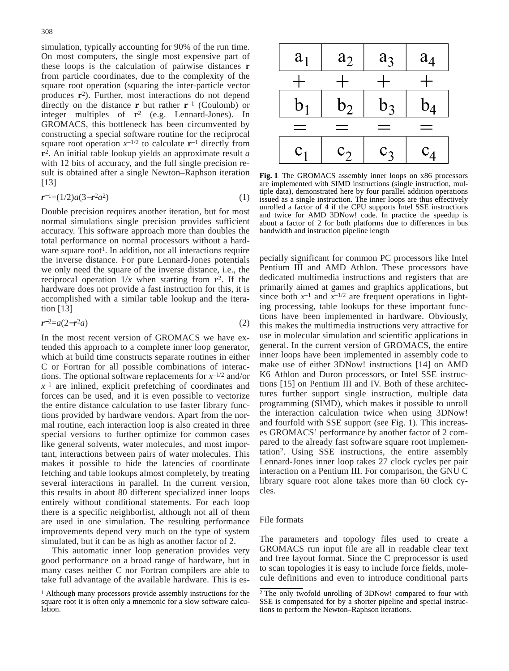simulation, typically accounting for 90% of the run time. On most computers, the single most expensive part of these loops is the calculation of pairwise distances **r** from particle coordinates, due to the complexity of the square root operation (squaring the inter-particle vector produces **r**2). Further, most interactions do not depend directly on the distance **r** but rather  $\mathbf{r}^{-1}$  (Coulomb) or integer multiples of **r**<sup>2</sup> (e.g. Lennard-Jones). In GROMACS, this bottleneck has been circumvented by constructing a special software routine for the reciprocal square root operation  $x^{-1/2}$  to calculate  $\mathbf{r}^{-1}$  directly from **r**2. An initial table lookup yields an approximate result *a* with 12 bits of accuracy, and the full single precision result is obtained after a single Newton–Raphson iteration [13]

$$
r^{-1} = (1/2)a(3 - r^2a^2) \tag{1}
$$

Double precision requires another iteration, but for most normal simulations single precision provides sufficient accuracy. This software approach more than doubles the total performance on normal processors without a hardware square root<sup>1</sup>. In addition, not all interactions require the inverse distance. For pure Lennard-Jones potentials we only need the square of the inverse distance, i.e., the reciprocal operation  $1/x$  when starting from  $\mathbf{r}^2$ . If the hardware does not provide a fast instruction for this, it is accomplished with a similar table lookup and the iteration [13]

$$
r^{-2} = a(2 - r^2 a) \tag{2}
$$

In the most recent version of GROMACS we have extended this approach to a complete inner loop generator, which at build time constructs separate routines in either C or Fortran for all possible combinations of interactions. The optional software replacements for  $x^{-1/2}$  and/or  $x^{-1}$  are inlined, explicit prefetching of coordinates and forces can be used, and it is even possible to vectorize the entire distance calculation to use faster library functions provided by hardware vendors. Apart from the normal routine, each interaction loop is also created in three special versions to further optimize for common cases like general solvents, water molecules, and most important, interactions between pairs of water molecules. This makes it possible to hide the latencies of coordinate fetching and table lookups almost completely, by treating several interactions in parallel. In the current version, this results in about 80 different specialized inner loops entirely without conditional statements. For each loop there is a specific neighborlist, although not all of them are used in one simulation. The resulting performance improvements depend very much on the type of system simulated, but it can be as high as another factor of 2.

This automatic inner loop generation provides very good performance on a broad range of hardware, but in many cases neither C nor Fortran compilers are able to take full advantage of the available hardware. This is es-



**Fig. 1** The GROMACS assembly inner loops on x86 processors are implemented with SIMD instructions (single instruction, multiple data), demonstrated here by four parallel addition operations issued as a single instruction. The inner loops are thus effectively unrolled a factor of 4 if the CPU supports Intel SSE instructions and twice for AMD 3DNow! code. In practice the speedup is about a factor of 2 for both platforms due to differences in bus bandwidth and instruction pipeline length

pecially significant for common PC processors like Intel Pentium III and AMD Athlon. These processors have dedicated multimedia instructions and registers that are primarily aimed at games and graphics applications, but since both  $x^{-1}$  and  $x^{-1/2}$  are frequent operations in lighting processing, table lookups for these important functions have been implemented in hardware. Obviously, this makes the multimedia instructions very attractive for use in molecular simulation and scientific applications in general. In the current version of GROMACS, the entire inner loops have been implemented in assembly code to make use of either 3DNow! instructions [14] on AMD K6 Athlon and Duron processors, or Intel SSE instructions [15] on Pentium III and IV. Both of these architectures further support single instruction, multiple data programming (SIMD), which makes it possible to unroll the interaction calculation twice when using 3DNow! and fourfold with SSE support (see Fig. 1). This increases GROMACS' performance by another factor of 2 compared to the already fast software square root implementation2. Using SSE instructions, the entire assembly Lennard-Jones inner loop takes 27 clock cycles per pair interaction on a Pentium III. For comparison, the GNU C library square root alone takes more than 60 clock cycles.

## File formats

The parameters and topology files used to create a GROMACS run input file are all in readable clear text and free layout format. Since the C preprocessor is used to scan topologies it is easy to include force fields, molecule definitions and even to introduce conditional parts

<sup>1</sup> Although many processors provide assembly instructions for the square root it is often only a mnemonic for a slow software calculation.

<sup>2</sup> The only twofold unrolling of 3DNow! compared to four with SSE is compensated for by a shorter pipeline and special instructions to perform the Newton–Raphson iterations.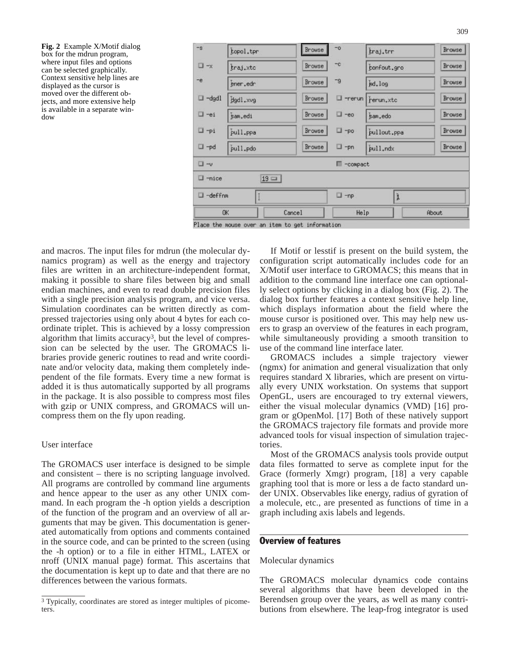**Fig. 2** Example X/Motif dialog box for the mdrun program, where input files and options can be selected graphically. Context sensitive help lines are displayed as the cursor is moved over the different objects, and more extensive help is available in a separate window

| $-$ s                                       | topol.tpr | Browse | $\overline{\phantom{0}}$ | traj.trr    | Browse        |  |
|---------------------------------------------|-----------|--------|--------------------------|-------------|---------------|--|
| $\square$ -x                                | traj.xtc  | Browse | $-c$                     | confout.gro | Browse        |  |
| $-e$                                        | ener, edr | Browse | $-9$                     | md.log      | Browse        |  |
| $\Box$ -dgdl                                | dgd1.xvg  | Browse | $\Box$ -rerun            | rerun.xtc   | Browse        |  |
| $\Box$ -ei                                  | sam.edi   | Browse | $\Box$ -eo               | sam.edo     | Browse        |  |
| $\Box$ -pi                                  | pull.ppa  | Browse | $\Box$ -po               | pullout.ppa | Browse        |  |
| $\Box$ -pd                                  | pull.pdo  | Browse | $\Box$ -pn               | pull.ndx    | <b>Browse</b> |  |
| $\Box \neg v$                               |           |        | -compact                 |             |               |  |
| $\Box$ -nice                                | $19 =$    |        |                          |             |               |  |
| $\ddot{\ddot{\mathrm{}}}$<br>$\Box$ -deffnm |           |        | $\Box$ -np               | ĭ           |               |  |
|                                             | 0K        | Cancel | Help                     | About       |               |  |

and macros. The input files for mdrun (the molecular dynamics program) as well as the energy and trajectory files are written in an architecture-independent format, making it possible to share files between big and small endian machines, and even to read double precision files with a single precision analysis program, and vice versa. Simulation coordinates can be written directly as compressed trajectories using only about 4 bytes for each coordinate triplet. This is achieved by a lossy compression algorithm that limits accuracy3, but the level of compression can be selected by the user. The GROMACS libraries provide generic routines to read and write coordinate and/or velocity data, making them completely independent of the file formats. Every time a new format is added it is thus automatically supported by all programs in the package. It is also possible to compress most files with gzip or UNIX compress, and GROMACS will uncompress them on the fly upon reading.

## User interface

The GROMACS user interface is designed to be simple and consistent – there is no scripting language involved. All programs are controlled by command line arguments and hence appear to the user as any other UNIX command. In each program the -h option yields a description of the function of the program and an overview of all arguments that may be given. This documentation is generated automatically from options and comments contained in the source code, and can be printed to the screen (using the -h option) or to a file in either HTML, LATEX or nroff (UNIX manual page) format. This ascertains that the documentation is kept up to date and that there are no differences between the various formats.

If Motif or lesstif is present on the build system, the configuration script automatically includes code for an X/Motif user interface to GROMACS; this means that in addition to the command line interface one can optionally select options by clicking in a dialog box (Fig. 2). The dialog box further features a context sensitive help line, which displays information about the field where the mouse cursor is positioned over. This may help new users to grasp an overview of the features in each program, while simultaneously providing a smooth transition to use of the command line interface later.

GROMACS includes a simple trajectory viewer (ngmx) for animation and general visualization that only requires standard X libraries, which are present on virtually every UNIX workstation. On systems that support OpenGL, users are encouraged to try external viewers, either the visual molecular dynamics (VMD) [16] program or gOpenMol. [17] Both of these natively support the GROMACS trajectory file formats and provide more advanced tools for visual inspection of simulation trajectories.

Most of the GROMACS analysis tools provide output data files formatted to serve as complete input for the Grace (formerly Xmgr) program, [18] a very capable graphing tool that is more or less a de facto standard under UNIX. Observables like energy, radius of gyration of a molecule, etc., are presented as functions of time in a graph including axis labels and legends.

# Overview of features

#### Molecular dynamics

The GROMACS molecular dynamics code contains several algorithms that have been developed in the Berendsen group over the years, as well as many contributions from elsewhere. The leap-frog integrator is used

<sup>3</sup> Typically, coordinates are stored as integer multiples of picometers.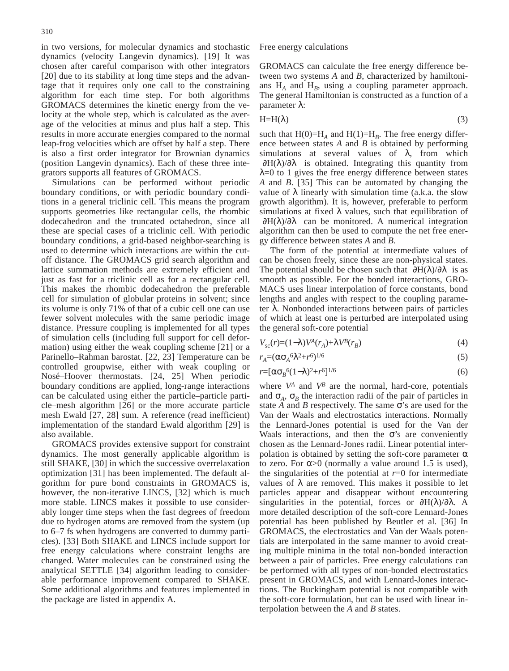in two versions, for molecular dynamics and stochastic dynamics (velocity Langevin dynamics). [19] It was chosen after careful comparison with other integrators [20] due to its stability at long time steps and the advantage that it requires only one call to the constraining algorithm for each time step. For both algorithms GROMACS determines the kinetic energy from the velocity at the whole step, which is calculated as the average of the velocities at minus and plus half a step. This results in more accurate energies compared to the normal leap-frog velocities which are offset by half a step. There is also a first order integrator for Brownian dynamics (position Langevin dynamics). Each of these three integrators supports all features of GROMACS.

Simulations can be performed without periodic boundary conditions, or with periodic boundary conditions in a general triclinic cell. This means the program supports geometries like rectangular cells, the rhombic dodecahedron and the truncated octahedron, since all these are special cases of a triclinic cell. With periodic boundary conditions, a grid-based neighbor-searching is used to determine which interactions are within the cutoff distance. The GROMACS grid search algorithm and lattice summation methods are extremely efficient and just as fast for a triclinic cell as for a rectangular cell. This makes the rhombic dodecahedron the preferable cell for simulation of globular proteins in solvent; since its volume is only 71% of that of a cubic cell one can use fewer solvent molecules with the same periodic image distance. Pressure coupling is implemented for all types of simulation cells (including full support for cell deformation) using either the weak coupling scheme [21] or a Parinello–Rahman barostat. [22, 23] Temperature can be controlled groupwise, either with weak coupling or Nosé–Hoover thermostats. [24, 25] When periodic boundary conditions are applied, long-range interactions can be calculated using either the particle–particle particle–mesh algorithm [26] or the more accurate particle mesh Ewald [27, 28] sum. A reference (read inefficient) implementation of the standard Ewald algorithm [29] is also available.

GROMACS provides extensive support for constraint dynamics. The most generally applicable algorithm is still SHAKE, [30] in which the successive overrelaxation optimization [31] has been implemented. The default algorithm for pure bond constraints in GROMACS is, however, the non-iterative LINCS, [32] which is much more stable. LINCS makes it possible to use considerably longer time steps when the fast degrees of freedom due to hydrogen atoms are removed from the system (up to 6–7 fs when hydrogens are converted to dummy particles). [33] Both SHAKE and LINCS include support for free energy calculations where constraint lengths are changed. Water molecules can be constrained using the analytical SETTLE [34] algorithm leading to considerable performance improvement compared to SHAKE. Some additional algorithms and features implemented in the package are listed in appendix A.

Free energy calculations

GROMACS can calculate the free energy difference between two systems *A* and *B*, characterized by hamiltonians  $H_A$  and  $H_B$ , using a coupling parameter approach. The general Hamiltonian is constructed as a function of a parameter λ:

$$
H=H(\lambda) \tag{3}
$$

such that  $H(0)=H_A$  and  $H(1)=H_B$ . The free energy difference between states *A* and *B* is obtained by performing simulations at several values of  $\lambda$ , from which  $\langle \partial H(\lambda)/\partial \lambda \rangle$  is obtained. Integrating this quantity from  $\lambda$ =0 to 1 gives the free energy difference between states *A* and *B*. [35] This can be automated by changing the value of λ linearly with simulation time (a.k.a. the slow growth algorithm). It is, however, preferable to perform simulations at fixed  $\lambda$  values, such that equilibration of 〈∂H(λ)/∂λ〉 can be monitored. A numerical integration algorithm can then be used to compute the net free energy difference between states *A* and *B*.

The form of the potential at intermediate values of can be chosen freely, since these are non-physical states. The potential should be chosen such that  $\langle \partial H(\lambda)/\partial \lambda \rangle$  is as smooth as possible. For the bonded interactions, GRO-MACS uses linear interpolation of force constants, bond lengths and angles with respect to the coupling parameter λ. Nonbonded interactions between pairs of particles of which at least one is perturbed are interpolated using the general soft-core potential

$$
V_{\rm sc}(r) = (1 - \lambda)V^A(r_A) + \lambda V^B(r_B)
$$
\n<sup>(4)</sup>

$$
r_A = (\alpha \sigma_A^6 \lambda^2 + r^6)^{1/6} \tag{5}
$$

$$
r = \left[\alpha \sigma_B^6 (1 - \lambda)^2 + r^6\right]^{1/6} \tag{6}
$$

where *VA* and *VB* are the normal, hard-core, potentials and  $\sigma_A$ ,  $\sigma_B$  the interaction radii of the pair of particles in state *A* and *B* respectively. The same  $\sigma$ 's are used for the Van der Waals and electrostatics interactions. Normally the Lennard-Jones potential is used for the Van der Waals interactions, and then the  $\sigma$ 's are conveniently chosen as the Lennard-Jones radii. Linear potential interpolation is obtained by setting the soft-core parameter  $\alpha$ to zero. For  $\alpha$  > 0 (normally a value around 1.5 is used), the singularities of the potential at  $r=0$  for intermediate values of  $\lambda$  are removed. This makes it possible to let particles appear and disappear without encountering singularities in the potential, forces or  $\frac{\partial H(\lambda)}{\partial \lambda}$ . A more detailed description of the soft-core Lennard-Jones potential has been published by Beutler et al. [36] In GROMACS, the electrostatics and Van der Waals potentials are interpolated in the same manner to avoid creating multiple minima in the total non-bonded interaction between a pair of particles. Free energy calculations can be performed with all types of non-bonded electrostatics present in GROMACS, and with Lennard-Jones interactions. The Buckingham potential is not compatible with the soft-core formulation, but can be used with linear interpolation between the *A* and *B* states.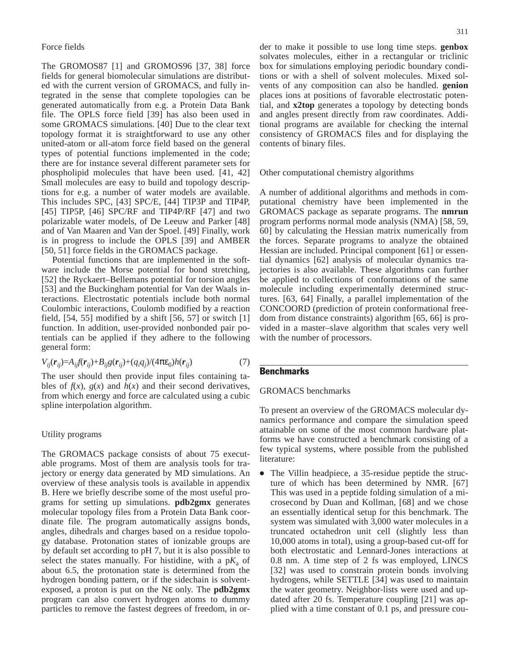Force fields

The GROMOS87 [1] and GROMOS96 [37, 38] force fields for general biomolecular simulations are distributed with the current version of GROMACS, and fully integrated in the sense that complete topologies can be generated automatically from e.g. a Protein Data Bank file. The OPLS force field [39] has also been used in some GROMACS simulations. [40] Due to the clear text topology format it is straightforward to use any other united-atom or all-atom force field based on the general types of potential functions implemented in the code; there are for instance several different parameter sets for phospholipid molecules that have been used. [41, 42] Small molecules are easy to build and topology descriptions for e.g. a number of water models are available. This includes SPC, [43] SPC/E, [44] TIP3P and TIP4P, [45] TIP5P, [46] SPC/RF and TIP4P/RF [47] and two polarizable water models, of De Leeuw and Parker [48] and of Van Maaren and Van der Spoel. [49] Finally, work is in progress to include the OPLS [39] and AMBER [50, 51] force fields in the GROMACS package.

Potential functions that are implemented in the software include the Morse potential for bond stretching, [52] the Ryckaert–Bellemans potential for torsion angles [53] and the Buckingham potential for Van der Waals interactions. Electrostatic potentials include both normal Coulombic interactions, Coulomb modified by a reaction field,  $[54, 55]$  modified by a shift  $[56, 57]$  or switch  $[1]$ function. In addition, user-provided nonbonded pair potentials can be applied if they adhere to the following general form:

$$
V_{ij}(\boldsymbol{r}_{ij}) = A_{ij}f(\boldsymbol{r}_{ij}) + B_{ij}g(\boldsymbol{r}_{ij}) + (q_iq_j)/(4\pi\epsilon_0)h(\boldsymbol{r}_{ij})
$$
\n<sup>(7)</sup>

The user should then provide input files containing tables of  $f(x)$ ,  $g(x)$  and  $h(x)$  and their second derivatives, from which energy and force are calculated using a cubic spline interpolation algorithm.

## Utility programs

The GROMACS package consists of about 75 executable programs. Most of them are analysis tools for trajectory or energy data generated by MD simulations. An overview of these analysis tools is available in appendix B. Here we briefly describe some of the most useful programs for setting up simulations. **pdb2gmx** generates molecular topology files from a Protein Data Bank coordinate file. The program automatically assigns bonds, angles, dihedrals and charges based on a residue topology database. Protonation states of ionizable groups are by default set according to pH 7, but it is also possible to select the states manually. For histidine, with a  $pK_a$  of about 6.5, the protonation state is determined from the hydrogen bonding pattern, or if the sidechain is solventexposed, a proton is put on the Nε only. The **pdb2gmx** program can also convert hydrogen atoms to dummy particles to remove the fastest degrees of freedom, in or-

der to make it possible to use long time steps. **genbox** solvates molecules, either in a rectangular or triclinic box for simulations employing periodic boundary conditions or with a shell of solvent molecules. Mixed solvents of any composition can also be handled. **genion** places ions at positions of favorable electrostatic potential, and **x2top** generates a topology by detecting bonds and angles present directly from raw coordinates. Additional programs are available for checking the internal consistency of GROMACS files and for displaying the contents of binary files.

Other computational chemistry algorithms

A number of additional algorithms and methods in computational chemistry have been implemented in the GROMACS package as separate programs. The **nmrun** program performs normal mode analysis (NMA) [58, 59, 60] by calculating the Hessian matrix numerically from the forces. Separate programs to analyze the obtained Hessian are included. Principal component [61] or essential dynamics [62] analysis of molecular dynamics trajectories is also available. These algorithms can further be applied to collections of conformations of the same molecule including experimentally determined structures. [63, 64] Finally, a parallel implementation of the CONCOORD (prediction of protein conformational freedom from distance constraints) algorithm [65, 66] is provided in a master–slave algorithm that scales very well with the number of processors.

# **Benchmarks**

## GROMACS benchmarks

To present an overview of the GROMACS molecular dynamics performance and compare the simulation speed attainable on some of the most common hardware platforms we have constructed a benchmark consisting of a few typical systems, where possible from the published literature:

• The Villin headpiece, a 35-residue peptide the structure of which has been determined by NMR. [67] This was used in a peptide folding simulation of a microsecond by Duan and Kollman, [68] and we chose an essentially identical setup for this benchmark. The system was simulated with 3,000 water molecules in a truncated octahedron unit cell (slightly less than 10,000 atoms in total), using a group-based cut-off for both electrostatic and Lennard-Jones interactions at 0.8 nm. A time step of 2 fs was employed, LINCS [32] was used to constrain protein bonds involving hydrogens, while SETTLE [34] was used to maintain the water geometry. Neighbor-lists were used and updated after 20 fs. Temperature coupling [21] was applied with a time constant of 0.1 ps, and pressure cou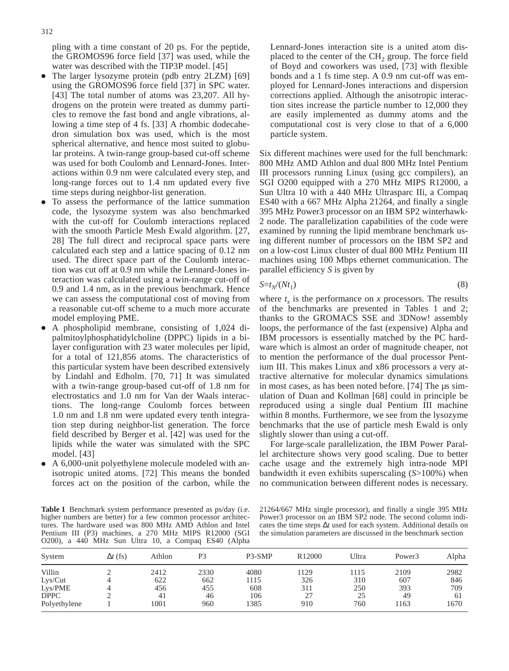pling with a time constant of 20 ps. For the peptide, the GROMOS96 force field [37] was used, while the water was described with the TIP3P model. [45]

- The larger lysozyme protein (pdb entry 2LZM) [69] using the GROMOS96 force field [37] in SPC water. [43] The total number of atoms was 23,207. All hydrogens on the protein were treated as dummy particles to remove the fast bond and angle vibrations, allowing a time step of 4 fs. [33] A rhombic dodecahedron simulation box was used, which is the most spherical alternative, and hence most suited to globular proteins. A twin-range group-based cut-off scheme was used for both Coulomb and Lennard-Jones. Interactions within 0.9 nm were calculated every step, and long-range forces out to 1.4 nm updated every five time steps during neighbor-list generation.
- To assess the performance of the lattice summation code, the lysozyme system was also benchmarked with the cut-off for Coulomb interactions replaced with the smooth Particle Mesh Ewald algorithm. [27, 28] The full direct and reciprocal space parts were calculated each step and a lattice spacing of 0.12 nm used. The direct space part of the Coulomb interaction was cut off at 0.9 nm while the Lennard-Jones interaction was calculated using a twin-range cut-off of 0.9 and 1.4 nm, as in the previous benchmark. Hence we can assess the computational cost of moving from a reasonable cut-off scheme to a much more accurate model employing PME.
- A phospholipid membrane, consisting of 1,024 dipalmitoylphosphatidylcholine (DPPC) lipids in a bilayer configuration with 23 water molecules per lipid, for a total of 121,856 atoms. The characteristics of this particular system have been described extensively by Lindahl and Edholm. [70, 71] It was simulated with a twin-range group-based cut-off of 1.8 nm for electrostatics and 1.0 nm for Van der Waals interactions. The long-range Coulomb forces between 1.0 nm and 1.8 nm were updated every tenth integration step during neighbor-list generation. The force field described by Berger et al. [42] was used for the lipids while the water was simulated with the SPC model. [43]
- A 6,000-unit polyethylene molecule modeled with anisotropic united atoms. [72] This means the bonded forces act on the position of the carbon, while the

Lennard-Jones interaction site is a united atom displaced to the center of the CH<sub>2</sub> group. The force field of Boyd and coworkers was used, [73] with flexible bonds and a 1 fs time step. A 0.9 nm cut-off was employed for Lennard-Jones interactions and dispersion corrections applied. Although the anisotropic interaction sites increase the particle number to 12,000 they are easily implemented as dummy atoms and the computational cost is very close to that of a 6,000 particle system.

Six different machines were used for the full benchmark: 800 MHz AMD Athlon and dual 800 MHz Intel Pentium III processors running Linux (using gcc compilers), an SGI O200 equipped with a 270 MHz MIPS R12000, a Sun Ultra 10 with a 440 MHz Ultrasparc IIi, a Compaq ES40 with a 667 MHz Alpha 21264, and finally a single 395 MHz Power3 processor on an IBM SP2 winterhawk-2 node. The parallelization capabilities of the code were examined by running the lipid membrane benchmark using different number of processors on the IBM SP2 and on a low-cost Linux cluster of dual 800 MHz Pentium III machines using 100 Mbps ethernet communication. The parallel efficiency *S* is given by

$$
S=t_N/(Nt_1) \tag{8}
$$

where  $t<sub>x</sub>$  is the performance on *x* processors. The results of the benchmarks are presented in Tables 1 and 2; thanks to the GROMACS SSE and 3DNow! assembly loops, the performance of the fast (expensive) Alpha and IBM processors is essentially matched by the PC hardware which is almost an order of magnitude cheaper, not to mention the performance of the dual processor Pentium III. This makes Linux and x86 processors a very attractive alternative for molecular dynamics simulations in most cases, as has been noted before. [74] The µs simulation of Duan and Kollman [68] could in principle be reproduced using a single dual Pentium III machine within 8 months. Furthermore, we see from the lysozyme benchmarks that the use of particle mesh Ewald is only slightly slower than using a cut-off.

For large-scale parallelization, the IBM Power Parallel architecture shows very good scaling. Due to better cache usage and the extremely high intra-node MPI bandwidth it even exhibits superscaling (*S*>100%) when no communication between different nodes is necessary.

**Table 1** Benchmark system performance presented as ps/day (i.e. higher numbers are better) for a few common processor architectures. The hardware used was 800 MHz AMD Athlon and Intel Pentium III (P3) machines, a 270 MHz MIPS R12000 (SGI O200), a 440 MHz Sun Ultra 10, a Compaq ES40 (Alpha

21264/667 MHz single processor), and finally a single 395 MHz Power3 processor on an IBM SP2 node. The second column indicates the time steps ∆*t* used for each system. Additional details on the simulation parameters are discussed in the benchmark section

| System       | $\Delta t$ (fs) | Athlon | P3   | P3-SMP | R <sub>12000</sub> | Ultra | Power3 | Alpha |
|--------------|-----------------|--------|------|--------|--------------------|-------|--------|-------|
|              |                 |        |      |        |                    |       |        |       |
| Villin       |                 | 2412   | 2330 | 4080   | 1129               | 1115  | 2109   | 2982  |
| Lys/Cut      |                 | 622    | 662  | 1115   | 326                | 310   | 607    | 846   |
| Lys/PME      |                 | 456    | 455  | 608    | 311                | 250   | 393    | 709   |
| <b>DPPC</b>  |                 | 41     | 46   | 106    | 27                 | 25    | 49     | 61    |
| Polyethylene |                 | 1001   | 960  | 1385   | 910                | 760   | 163    | 1670  |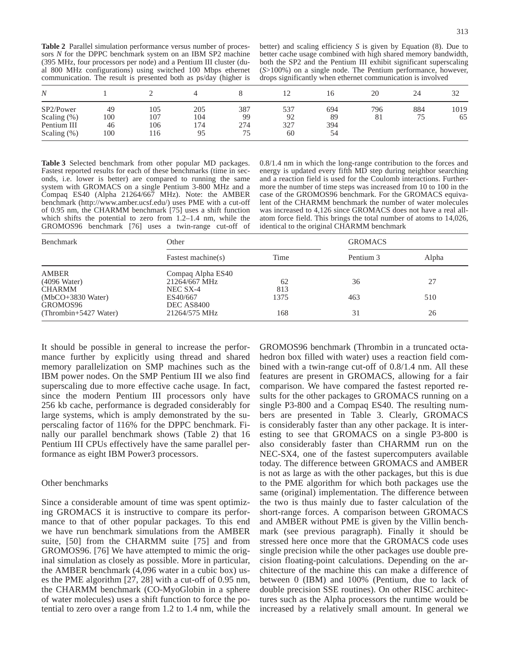**Table 2** Parallel simulation performance versus number of processors *N* for the DPPC benchmark system on an IBM SP2 machine (395 MHz, four processors per node) and a Pentium III cluster (dual 800 MHz configurations) using switched 100 Mbps ethernet communication. The result is presented both as ps/day (higher is

better) and scaling efficiency *S* is given by Equation (8). Due to better cache usage combined with high shared memory bandwidth, both the SP2 and the Pentium III exhibit significant superscaling (*S*>100%) on a single node. The Pentium performance, however, drops significantly when ethernet communication is involved

| N                                                      |                        |                          |                         |                        |                        | 16                     | 20        | 24               | 32         |
|--------------------------------------------------------|------------------------|--------------------------|-------------------------|------------------------|------------------------|------------------------|-----------|------------------|------------|
| SP2/Power<br>Scaling (%)<br>Pentium III<br>Scaling (%) | 49<br>100<br>46<br>100 | 105<br>107<br>106<br>116 | 205<br>104<br>174<br>95 | 387<br>99<br>274<br>75 | 537<br>92<br>327<br>60 | 694<br>89<br>394<br>54 | 796<br>81 | 884<br>75<br>ر ، | 1019<br>65 |

**Table 3** Selected benchmark from other popular MD packages. Fastest reported results for each of these benchmarks (time in seconds, i.e. lower is better) are compared to running the same system with GROMACS on a single Pentium 3-800 MHz and a Compaq ES40 (Alpha 21264/667 MHz). Note: the AMBER benchmark (http://www.amber.ucsf.edu/) uses PME with a cut-off of 0.95 nm, the CHARMM benchmark [75] uses a shift function which shifts the potential to zero from 1.2–1.4 nm, while the GROMOS96 benchmark [76] uses a twin-range cut-off of

0.8/1.4 nm in which the long-range contribution to the forces and energy is updated every fifth MD step during neighbor searching and a reaction field is used for the Coulomb interactions. Furthermore the number of time steps was increased from 10 to 100 in the case of the GROMOS96 benchmark. For the GROMACS equivalent of the CHARMM benchmark the number of water molecules was increased to 4,126 since GROMACS does not have a real allatom force field. This brings the total number of atoms to 14,026, identical to the original CHARMM benchmark

| Benchmark                         | Other              |      | <b>GROMACS</b> |       |  |
|-----------------------------------|--------------------|------|----------------|-------|--|
|                                   | Fastest machine(s) | Time | Pentium 3      | Alpha |  |
| <b>AMBER</b><br>Compaq Alpha ES40 |                    |      |                |       |  |
| $(4096 \text{ Water})$            | 21264/667 MHz      | 62   | 36             | 27    |  |
| <b>CHARMM</b>                     | NEC SX-4           | 813  |                |       |  |
| $(MbCO+3830 Water)$               | ES40/667           | 1375 | 463            | 510   |  |
| GROMOS96                          | DEC AS8400         |      |                |       |  |
| (Thrombin+5427 Water)             | 21264/575 MHz      | 168  | 31             | 26    |  |

It should be possible in general to increase the performance further by explicitly using thread and shared memory parallelization on SMP machines such as the IBM power nodes. On the SMP Pentium III we also find superscaling due to more effective cache usage. In fact, since the modern Pentium III processors only have 256 kb cache, performance is degraded considerably for large systems, which is amply demonstrated by the superscaling factor of 116% for the DPPC benchmark. Finally our parallel benchmark shows (Table 2) that 16 Pentium III CPUs effectively have the same parallel performance as eight IBM Power3 processors.

### Other benchmarks

Since a considerable amount of time was spent optimizing GROMACS it is instructive to compare its performance to that of other popular packages. To this end we have run benchmark simulations from the AMBER suite, [50] from the CHARMM suite [75] and from GROMOS96. [76] We have attempted to mimic the original simulation as closely as possible. More in particular, the AMBER benchmark (4,096 water in a cubic box) uses the PME algorithm [27, 28] with a cut-off of 0.95 nm, the CHARMM benchmark (CO-MyoGlobin in a sphere of water molecules) uses a shift function to force the potential to zero over a range from 1.2 to 1.4 nm, while the

GROMOS96 benchmark (Thrombin in a truncated octahedron box filled with water) uses a reaction field combined with a twin-range cut-off of 0.8/1.4 nm. All these features are present in GROMACS, allowing for a fair comparison. We have compared the fastest reported results for the other packages to GROMACS running on a single P3-800 and a Compaq ES40. The resulting numbers are presented in Table 3. Clearly, GROMACS is considerably faster than any other package. It is interesting to see that GROMACS on a single P3-800 is also considerably faster than CHARMM run on the NEC-SX4, one of the fastest supercomputers available today. The difference between GROMACS and AMBER is not as large as with the other packages, but this is due to the PME algorithm for which both packages use the same (original) implementation. The difference between the two is thus mainly due to faster calculation of the short-range forces. A comparison between GROMACS and AMBER without PME is given by the Villin benchmark (see previous paragraph). Finally it should be stressed here once more that the GROMACS code uses single precision while the other packages use double precision floating-point calculations. Depending on the architecture of the machine this can make a difference of between 0 (IBM) and 100% (Pentium, due to lack of double precision SSE routines). On other RISC architectures such as the Alpha processors the runtime would be increased by a relatively small amount. In general we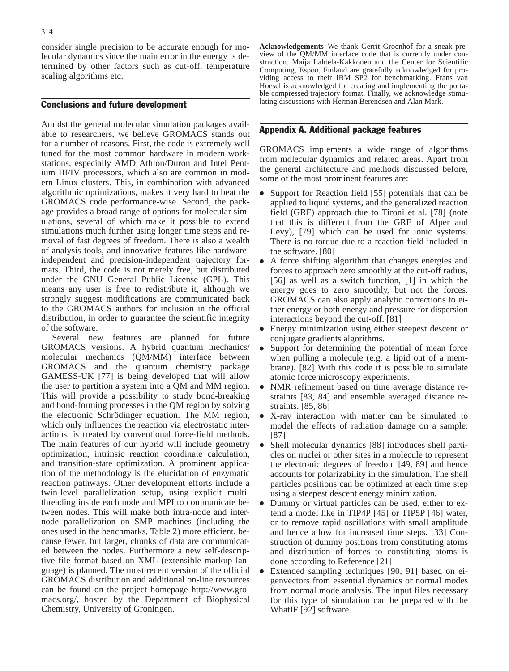# Conclusions and future development

Amidst the general molecular simulation packages available to researchers, we believe GROMACS stands out for a number of reasons. First, the code is extremely well tuned for the most common hardware in modern workstations, especially AMD Athlon/Duron and Intel Pentium III/IV processors, which also are common in modern Linux clusters. This, in combination with advanced algorithmic optimizations, makes it very hard to beat the GROMACS code performance-wise. Second, the package provides a broad range of options for molecular simulations, several of which make it possible to extend simulations much further using longer time steps and removal of fast degrees of freedom. There is also a wealth of analysis tools, and innovative features like hardwareindependent and precision-independent trajectory formats. Third, the code is not merely free, but distributed under the GNU General Public License (GPL). This means any user is free to redistribute it, although we strongly suggest modifications are communicated back to the GROMACS authors for inclusion in the official distribution, in order to guarantee the scientific integrity of the software.

Several new features are planned for future GROMACS versions. A hybrid quantum mechanics/ molecular mechanics (QM/MM) interface between GROMACS and the quantum chemistry package GAMESS-UK [77] is being developed that will allow the user to partition a system into a QM and MM region. This will provide a possibility to study bond-breaking and bond-forming processes in the QM region by solving the electronic Schrödinger equation. The MM region, which only influences the reaction via electrostatic interactions, is treated by conventional force-field methods. The main features of our hybrid will include geometry optimization, intrinsic reaction coordinate calculation, and transition-state optimization. A prominent application of the methodology is the elucidation of enzymatic reaction pathways. Other development efforts include a twin-level parallelization setup, using explicit multithreading inside each node and MPI to communicate between nodes. This will make both intra-node and internode parallelization on SMP machines (including the ones used in the benchmarks, Table 2) more efficient, because fewer, but larger, chunks of data are communicated between the nodes. Furthermore a new self-descriptive file format based on XML (extensible markup language) is planned. The most recent version of the official GROMACS distribution and additional on-line resources can be found on the project homepage http://www.gromacs.org/, hosted by the Department of Biophysical Chemistry, University of Groningen.

**Acknowledgements** We thank Gerrit Groenhof for a sneak preview of the QM/MM interface code that is currently under construction. Maija Lahtela-Kakkonen and the Center for Scientific Computing, Espoo, Finland are gratefully acknowledged for providing access to their IBM SP2 for benchmarking. Frans van Hoesel is acknowledged for creating and implementing the portable compressed trajectory format. Finally, we acknowledge stimulating discussions with Herman Berendsen and Alan Mark.

# Appendix A. Additional package features

GROMACS implements a wide range of algorithms from molecular dynamics and related areas. Apart from the general architecture and methods discussed before, some of the most prominent features are:

- Support for Reaction field [55] potentials that can be applied to liquid systems, and the generalized reaction field (GRF) approach due to Tironi et al. [78] (note that this is different from the GRF of Alper and Levy), [79] which can be used for ionic systems. There is no torque due to a reaction field included in the software. [80]
- A force shifting algorithm that changes energies and forces to approach zero smoothly at the cut-off radius, [56] as well as a switch function, [1] in which the energy goes to zero smoothly, but not the forces. GROMACS can also apply analytic corrections to either energy or both energy and pressure for dispersion interactions beyond the cut-off. [81]
- Energy minimization using either steepest descent or conjugate gradients algorithms.
- Support for determining the potential of mean force when pulling a molecule (e.g. a lipid out of a membrane). [82] With this code it is possible to simulate atomic force microscopy experiments.
- NMR refinement based on time average distance restraints [83, 84] and ensemble averaged distance restraints. [85, 86]
- X-ray interaction with matter can be simulated to model the effects of radiation damage on a sample. [87]
- Shell molecular dynamics [88] introduces shell particles on nuclei or other sites in a molecule to represent the electronic degrees of freedom [49, 89] and hence accounts for polarizability in the simulation. The shell particles positions can be optimized at each time step using a steepest descent energy minimization.
- Dummy or virtual particles can be used, either to extend a model like in TIP4P [45] or TIP5P [46] water, or to remove rapid oscillations with small amplitude and hence allow for increased time steps. [33] Construction of dummy positions from constituting atoms and distribution of forces to constituting atoms is done according to Reference [21]
- Extended sampling techniques [90, 91] based on eigenvectors from essential dynamics or normal modes from normal mode analysis. The input files necessary for this type of simulation can be prepared with the WhatIF [92] software.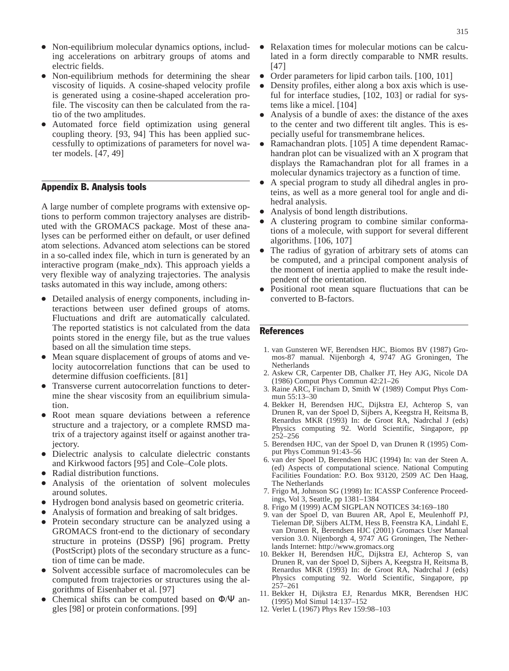- Non-equilibrium molecular dynamics options, including accelerations on arbitrary groups of atoms and electric fields.
- Non-equilibrium methods for determining the shear viscosity of liquids. A cosine-shaped velocity profile is generated using a cosine-shaped acceleration profile. The viscosity can then be calculated from the ratio of the two amplitudes.
- Automated force field optimization using general coupling theory. [93, 94] This has been applied successfully to optimizations of parameters for novel water models. [47, 49]

# Appendix B. Analysis tools

A large number of complete programs with extensive options to perform common trajectory analyses are distributed with the GROMACS package. Most of these analyses can be performed either on default, or user defined atom selections. Advanced atom selections can be stored in a so-called index file, which in turn is generated by an interactive program (make\_ndx). This approach yields a very flexible way of analyzing trajectories. The analysis tasks automated in this way include, among others:

- Detailed analysis of energy components, including interactions between user defined groups of atoms. Fluctuations and drift are automatically calculated. The reported statistics is not calculated from the data points stored in the energy file, but as the true values based on all the simulation time steps.
- Mean square displacement of groups of atoms and velocity autocorrelation functions that can be used to determine diffusion coefficients. [81]
- Transverse current autocorrelation functions to determine the shear viscosity from an equilibrium simulation.
- Root mean square deviations between a reference structure and a trajectory, or a complete RMSD matrix of a trajectory against itself or against another trajectory.
- Dielectric analysis to calculate dielectric constants and Kirkwood factors [95] and Cole–Cole plots.
- Radial distribution functions.
- Analysis of the orientation of solvent molecules around solutes.
- Hydrogen bond analysis based on geometric criteria.
- Analysis of formation and breaking of salt bridges.
- Protein secondary structure can be analyzed using a GROMACS front-end to the dictionary of secondary structure in proteins (DSSP) [96] program. Pretty (PostScript) plots of the secondary structure as a function of time can be made.
- Solvent accessible surface of macromolecules can be computed from trajectories or structures using the algorithms of Eisenhaber et al. [97]
- Chemical shifts can be computed based on  $\Phi/\Psi$  angles [98] or protein conformations. [99]
- Relaxation times for molecular motions can be calculated in a form directly comparable to NMR results. [47]
- Order parameters for lipid carbon tails. [100, 101]
- Density profiles, either along a box axis which is useful for interface studies, [102, 103] or radial for systems like a micel. [104]
- Analysis of a bundle of axes: the distance of the axes to the center and two different tilt angles. This is especially useful for transmembrane helices.
- Ramachandran plots. [105] A time dependent Ramachandran plot can be visualized with an X program that displays the Ramachandran plot for all frames in a molecular dynamics trajectory as a function of time.
- A special program to study all dihedral angles in proteins, as well as a more general tool for angle and dihedral analysis.
- Analysis of bond length distributions.
- A clustering program to combine similar conformations of a molecule, with support for several different algorithms. [106, 107]
- The radius of gyration of arbitrary sets of atoms can be computed, and a principal component analysis of the moment of inertia applied to make the result independent of the orientation.
- Positional root mean square fluctuations that can be converted to B-factors.

## **References**

- 1. van Gunsteren WF, Berendsen HJC, Biomos BV (1987) Gromos-87 manual. Nijenborgh 4, 9747 AG Groningen, The Netherlands
- 2. Askew CR, Carpenter DB, Chalker JT, Hey AJG, Nicole DA (1986) Comput Phys Commun 42:21–26
- 3. Raine ARC, Fincham D, Smith W (1989) Comput Phys Commun 55:13–30
- 4. Bekker H, Berendsen HJC, Dijkstra EJ, Achterop S, van Drunen R, van der Spoel D, Sijbers A, Keegstra H, Reitsma B, Renardus MKR (1993) In: de Groot RA, Nadrchal J (eds) Physics computing 92. World Scientific, Singapore, pp 252–256
- 5. Berendsen HJC, van der Spoel D, van Drunen R (1995) Comput Phys Commun 91:43–56
- 6. van der Spoel D, Berendsen HJC (1994) In: van der Steen A. (ed) Aspects of computational science. National Computing Facilities Foundation: P.O. Box 93120, 2509 AC Den Haag, The Netherlands
- 7. Frigo M, Johnson SG (1998) In: ICASSP Conference Proceedings, Vol 3, Seattle, pp 1381–1384
- 8. Frigo M (1999) ACM SIGPLAN NOTICES 34:169–180
- 9. van der Spoel D, van Buuren AR, Apol E, Meulenhoff PJ, Tieleman DP, Sijbers ALTM, Hess B, Feenstra KA, Lindahl E, van Drunen R, Berendsen HJC (2001) Gromacs User Manual version 3.0. Nijenborgh 4, 9747 AG Groningen, The Netherlands Internet: http://www.gromacs.org
- 10. Bekker H, Berendsen HJC, Dijkstra EJ, Achterop S, van Drunen R, van der Spoel D, Sijbers A, Keegstra H, Reitsma B, Renardus MKR (1993) In: de Groot RA, Nadrchal J (eds) Physics computing 92. World Scientific, Singapore, pp 257–261
- 11. Bekker H, Dijkstra EJ, Renardus MKR, Berendsen HJC (1995) Mol Simul 14:137–152
- 12. Verlet L (1967) Phys Rev 159:98–103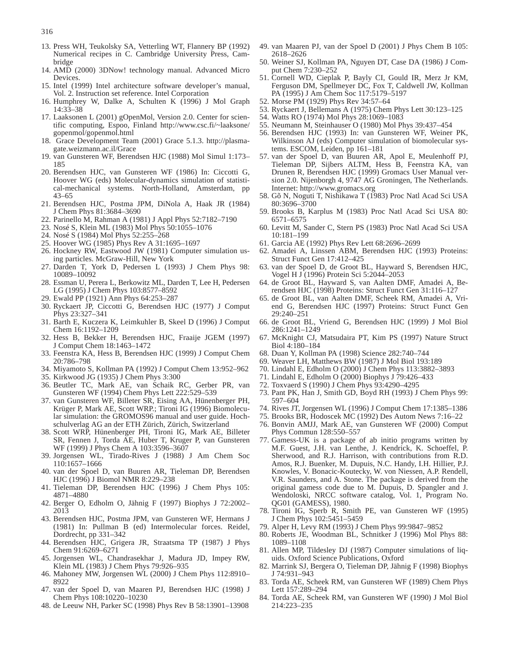- 13. Press WH, Teukolsky SA, Vetterling WT, Flannery BP (1992) Numerical recipes in C. Cambridge University Press, Cambridge
- 14. AMD (2000) 3DNow! technology manual. Advanced Micro Devices.
- 15. Intel (1999) Intel architecture software developer's manual, Vol. 2. Instruction set reference. Intel Corporation
- 16. Humphrey W, Dalke A, Schulten K (1996) J Mol Graph 14:33–38
- 17. Laaksonen L (2001) gOpenMol, Version 2.0. Center for scientific computing, Espoo, Finland http://www.csc.fi/~laaksone/ gopenmol/gopenmol.html
- 18. Grace Development Team (2001) Grace 5.1.3. http://plasmagate.weizmann.ac.il/Grace
- 19. van Gunsteren WF, Berendsen HJC (1988) Mol Simul 1:173– 185
- 20. Berendsen HJC, van Gunsteren WF (1986) In: Ciccotti G, Hoover WG (eds) Molecular-dynamics simulation of statistical-mechanical systems. North-Holland, Amsterdam, pp 43–65
- 21. Berendsen HJC, Postma JPM, DiNola A, Haak JR (1984) J Chem Phys 81:3684–3690
- 22. Parinello M, Rahman A (1981) J Appl Phys 52:7182–7190
- 23. Nosé S, Klein ML (1983) Mol Phys 50:1055–1076
- 24. Nosé S (1984) Mol Phys 52:255–268
- 25. Hoover WG (1985) Phys Rev A 31:1695–1697
- 26. Hockney RW, Eastwood JW (1981) Computer simulation using particles. McGraw-Hill, New York
- 27. Darden T, York D, Pedersen L (1993) J Chem Phys 98: 10089–10092
- 28. Essman U, Perera L, Berkowitz ML, Darden T, Lee H, Pedersen LG (1995) J Chem Phys 103:8577–8592
- 29. Ewald PP (1921) Ann Phys 64:253–287
- 30. Ryckaert JP, Ciccotti G, Berendsen HJC (1977) J Comput Phys 23:327–341
- 31. Barth E, Kuczera K, Leimkuhler B, Skeel D (1996) J Comput Chem 16:1192–1209
- 32. Hess B, Bekker H, Berendsen HJC, Fraaije JGEM (1997) J Comput Chem 18:1463–1472
- 33. Feenstra KA, Hess B, Berendsen HJC (1999) J Comput Chem 20:786–798
- 34. Miyamoto S, Kollman PA (1992) J Comput Chem 13:952–962
- 35. Kirkwood JG (1935) J Chem Phys 3:300
- 36. Beutler TC, Mark AE, van Schaik RC, Gerber PR, van Gunsteren WF (1994) Chem Phys Lett 222:529–539
- 37. van Gunsteren WF, Billeter SR, Eising AA, Hünenberger PH, Krüger P, Mark AE, Scott WRP.; Tironi IG (1996) Biomolecular simulation: the GROMOS96 manual and user guide. Hochschulverlag AG an der ETH Zürich, Zürich, Switzerland
- 38. Scott WRP, Hünenberger PH, Tironi IG, Mark AE, Billeter SR, Fennen J, Torda AE, Huber T, Kruger P, van Gunsteren WF (1999) J Phys Chem A 103:3596–3607
- 39. Jorgensen WL, Tirado-Rives J (1988) J Am Chem Soc 110:1657–1666
- 40. van der Spoel D, van Buuren AR, Tieleman DP, Berendsen HJC (1996) J Biomol NMR 8:229–238
- 41. Tieleman DP, Berendsen HJC (1996) J Chem Phys 105: 4871–4880
- 42. Berger O, Edholm O, Jähnig F (1997) Biophys J 72:2002– 2013
- 43. Berendsen HJC, Postma JPM, van Gunsteren WF, Hermans J (1981) In: Pullman B (ed) Intermolecular forces. Reidel, Dordrecht, pp 331–342
- 44. Berendsen HJC, Grigera JR, Straatsma TP (1987) J Phys Chem 91:6269–6271
- 45. Jorgensen WL, Chandrasekhar J, Madura JD, Impey RW, Klein ML (1983) J Chem Phys 79:926–935
- 46. Mahoney MW, Jorgensen WL (2000) J Chem Phys 112:8910– 8922
- 47. van der Spoel D, van Maaren PJ, Berendsen HJC (1998) J Chem Phys 108:10220–10230
- 48. de Leeuw NH, Parker SC (1998) Phys Rev B 58:13901–13908
- 49. van Maaren PJ, van der Spoel D (2001) J Phys Chem B 105: 2618–2626
- 50. Weiner SJ, Kollman PA, Nguyen DT, Case DA (1986) J Comput Chem 7:230–252
- 51. Cornell WD, Cieplak P, Bayly CI, Gould IR, Merz Jr KM, Ferguson DM, Spellmeyer DC, Fox T, Caldwell JW, Kollman PA (1995) J Am Chem Soc 117:5179–5197
- 52. Morse PM (1929) Phys Rev 34:57–64
- 53. Ryckaert J, Bellemans A (1975) Chem Phys Lett 30:123–125
- 54. Watts RO (1974) Mol Phys 28:1069–1083
- 55. Neumann M, Steinhauser O (1980) Mol Phys 39:437–454
- 56. Berendsen HJC (1993) In: van Gunsteren WF, Weiner PK, Wilkinson AJ (eds) Computer simulation of biomolecular systems. ESCOM, Leiden, pp 161–181
- 57. van der Spoel D, van Buuren AR, Apol E, Meulenhoff PJ, Tieleman DP, Sijbers ALTM, Hess B, Feenstra KA, van Drunen R, Berendsen HJC (1999) Gromacs User Manual version 2.0. Nijenborgh 4, 9747 AG Groningen, The Netherlands. Internet: http://www.gromacs.org
- 58. Gõ N, Noguti T, Nishikawa T (1983) Proc Natl Acad Sci USA 80:3696–3700
- 59. Brooks B, Karplus M (1983) Proc Natl Acad Sci USA 80: 6571–6575
- 60. Levitt M, Sander C, Stern PS (1983) Proc Natl Acad Sci USA 10:181–199
- 61. Garcia AE (1992) Phys Rev Lett 68:2696–2699
- 62. Amadei A, Linssen ABM, Berendsen HJC (1993) Proteins: Struct Funct Gen 17:412–425
- 63. van der Spoel D, de Groot BL, Hayward S, Berendsen HJC, Vogel H J (1996) Protein Sci 5:2044–2053
- 64. de Groot BL, Hayward S, van Aalten DMF, Amadei A, Berendsen HJC (1998) Proteins: Struct Funct Gen 31:116–127
- 65. de Groot BL, van Aalten DMF, Scheek RM, Amadei A, Vriend G, Berendsen HJC (1997) Proteins: Struct Funct Gen 29:240–251
- 66. de Groot BL, Vriend G, Berendsen HJC (1999) J Mol Biol 286:1241–1249
- 67. McKnight CJ, Matsudaira PT, Kim PS (1997) Nature Struct Biol 4:180–184
- 68. Duan Y, Kollman PA (1998) Science 282:740–744
- 69. Weaver LH, Matthews BW (1987) J Mol Biol 193:189
- 70. Lindahl E, Edholm O (2000) J Chem Phys 113:3882–3893
- 71. Lindahl E, Edholm O (2000) Biophys J 79:426–433
- 72. Toxvaerd S (1990) J Chem Phys 93:4290–4295
- 73. Pant PK, Han J, Smith GD, Boyd RH (1993) J Chem Phys 99: 597–604
- 74. Rives JT, Jorgensen WL (1996) J Comput Chem 17:1385–1386
- 75. Brooks BR, Hodoscek MC (1992) Des Autom News 7:16–22
- 76. Bonvin AMJJ, Mark AE, van Gunsteren WF (2000) Comput Phys Commun 128:550–557
- 77. Gamess-UK is a package of ab initio programs written by M.F. Guest, J.H. van Lenthe, J. Kendrick, K. Schoeffel, P. Sherwood, and R.J. Harrison, with contributions from R.D. Amos, R.J. Buenker, M. Dupuis, N.C. Handy, I.H. Hillier, P.J. Knowles, V. Bonacic-Koutecky, W. von Niessen, A.P. Rendell, V.R. Saunders, and A. Stone. The package is derived from the original gamess code due to M. Dupuis, D. Spangler and J. Wendoloski, NRCC software catalog, Vol. 1, Program No. QG01 (GAMESS), 1980.
- 78. Tironi IG, Sperb R, Smith PE, van Gunsteren WF (1995) J Chem Phys 102:5451–5459
- 79. Alper H, Levy RM (1993) J Chem Phys 99:9847–9852
- 80. Roberts JE, Woodman BL, Schnitker J (1996) Mol Phys 88: 1089–1108
- 81. Allen MP, Tildesley DJ (1987) Computer simulations of liquids. Oxford Science Publications, Oxford
- 82. Marrink SJ, Bergera O, Tieleman DP, Jähnig F (1998) Biophys J 74:931–943
- 83. Torda AE, Scheek RM, van Gunsteren WF (1989) Chem Phys Lett 157:289–294
- 84. Torda AE, Scheek RM, van Gunsteren WF (1990) J Mol Biol 214:223–235